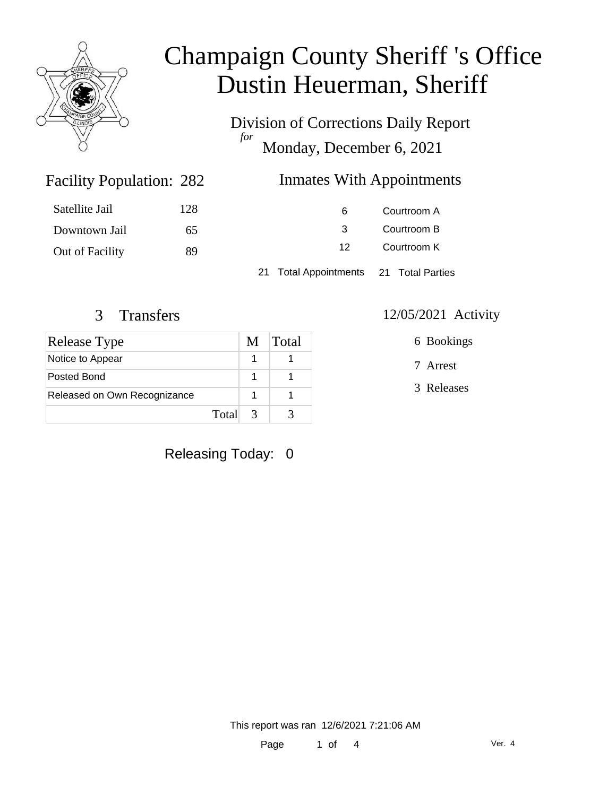

Division of Corrections Daily Report *for* Monday, December 6, 2021

### **Inmates With Appointments**

| Satellite Jail  | 128 | 6.  | Courtroom A |
|-----------------|-----|-----|-------------|
| Downtown Jail   | 65  | -3  | Courtroom B |
| Out of Facility | -89 | 12. | Courtroom K |
|                 |     |     |             |

21 Total Appointments 21 Total Parties

Facility Population: 282

| <b>Release Type</b>          | M             | <b>Total</b> |
|------------------------------|---------------|--------------|
| Notice to Appear             |               |              |
| Posted Bond                  |               |              |
| Released on Own Recognizance |               |              |
| Total                        | $\mathcal{R}$ |              |

## Releasing Today: 0

### 3 Transfers 12/05/2021 Activity

6 Bookings

7 Arrest

3 Releases

This report was ran 12/6/2021 7:21:06 AM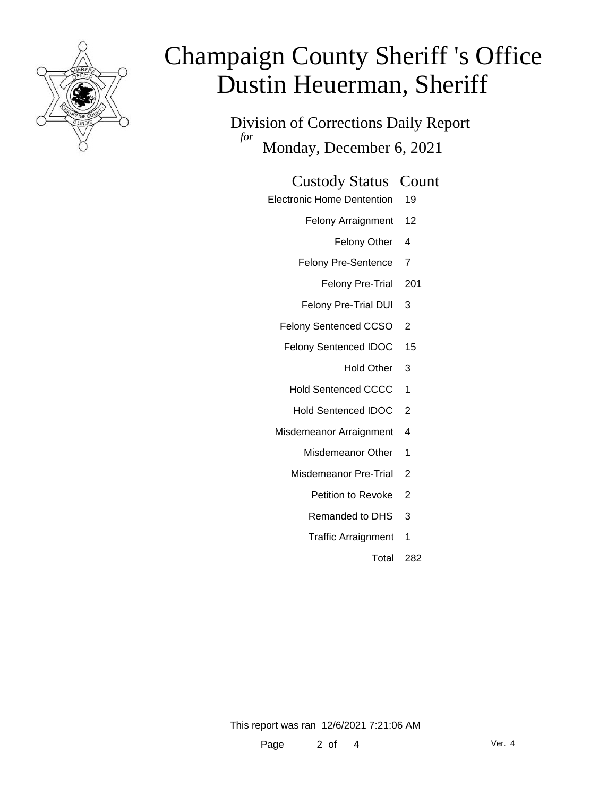

Division of Corrections Daily Report *for* Monday, December 6, 2021

### Custody Status Count

- Electronic Home Dentention 19
	- Felony Arraignment 12
		- Felony Other 4
	- Felony Pre-Sentence 7
		- Felony Pre-Trial 201
	- Felony Pre-Trial DUI 3
	- Felony Sentenced CCSO 2
	- Felony Sentenced IDOC 15
		- Hold Other 3
		- Hold Sentenced CCCC 1
		- Hold Sentenced IDOC 2
	- Misdemeanor Arraignment 4
		- Misdemeanor Other 1
		- Misdemeanor Pre-Trial 2
			- Petition to Revoke 2
			- Remanded to DHS 3
			- Traffic Arraignment 1
				- Total 282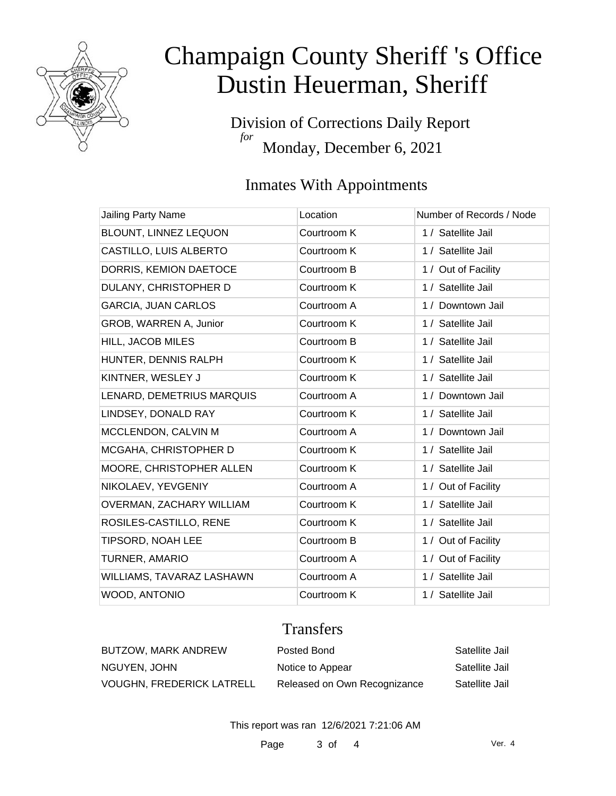

Division of Corrections Daily Report *for* Monday, December 6, 2021

# Inmates With Appointments

| <b>Jailing Party Name</b>  | Location    | Number of Records / Node |
|----------------------------|-------------|--------------------------|
| BLOUNT, LINNEZ LEQUON      | Courtroom K | 1 / Satellite Jail       |
| CASTILLO, LUIS ALBERTO     | Courtroom K | 1 / Satellite Jail       |
| DORRIS, KEMION DAETOCE     | Courtroom B | 1 / Out of Facility      |
| DULANY, CHRISTOPHER D      | Courtroom K | 1 / Satellite Jail       |
| <b>GARCIA, JUAN CARLOS</b> | Courtroom A | 1 / Downtown Jail        |
| GROB, WARREN A, Junior     | Courtroom K | 1 / Satellite Jail       |
| HILL, JACOB MILES          | Courtroom B | 1 / Satellite Jail       |
| HUNTER, DENNIS RALPH       | Courtroom K | 1 / Satellite Jail       |
| KINTNER, WESLEY J          | Courtroom K | 1 / Satellite Jail       |
| LENARD, DEMETRIUS MARQUIS  | Courtroom A | 1 / Downtown Jail        |
| LINDSEY, DONALD RAY        | Courtroom K | 1 / Satellite Jail       |
| MCCLENDON, CALVIN M        | Courtroom A | 1 / Downtown Jail        |
| MCGAHA, CHRISTOPHER D      | Courtroom K | 1 / Satellite Jail       |
| MOORE, CHRISTOPHER ALLEN   | Courtroom K | 1 / Satellite Jail       |
| NIKOLAEV, YEVGENIY         | Courtroom A | 1 / Out of Facility      |
| OVERMAN, ZACHARY WILLIAM   | Courtroom K | 1 / Satellite Jail       |
| ROSILES-CASTILLO, RENE     | Courtroom K | 1 / Satellite Jail       |
| TIPSORD, NOAH LEE          | Courtroom B | 1 / Out of Facility      |
| TURNER, AMARIO             | Courtroom A | 1 / Out of Facility      |
| WILLIAMS, TAVARAZ LASHAWN  | Courtroom A | 1 / Satellite Jail       |
| <b>WOOD, ANTONIO</b>       | Courtroom K | 1 / Satellite Jail       |

### **Transfers**

| BUTZOW, MARK ANDREW              | Posted Bond                  | Satellite Jail |
|----------------------------------|------------------------------|----------------|
| NGUYEN, JOHN                     | Notice to Appear             | Satellite Jail |
| <b>VOUGHN, FREDERICK LATRELL</b> | Released on Own Recognizance | Satellite Jail |

This report was ran 12/6/2021 7:21:06 AM